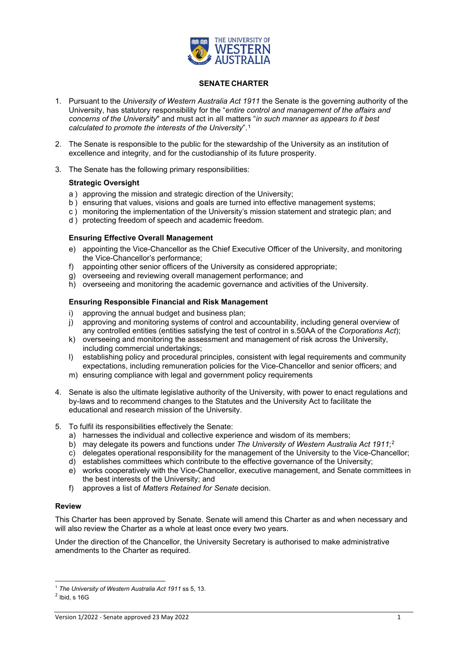

### **SENATE CHARTER**

- 1. Pursuant to the *University of Western Australia Act 1911* the Senate is the governing authority of the University, has statutory responsibility for the "*entire control and management of the affairs and concerns of the University*" and must act in all matters "*in such manner as appears to it best calculated to promote the interests of the University*".[1](#page-0-0)
- 2. The Senate is responsible to the public for the stewardship of the University as an institution of excellence and integrity, and for the custodianship of its future prosperity.
- 3. The Senate has the following primary responsibilities:

#### **Strategic Oversight**

- a ) approving the mission and strategic direction of the University;
- b ) ensuring that values, visions and goals are turned into effective management systems;
- c ) monitoring the implementation of the University's mission statement and strategic plan; and
- d ) protecting freedom of speech and academic freedom.

#### **Ensuring Effective Overall Management**

- e) appointing the Vice-Chancellor as the Chief Executive Officer of the University, and monitoring the Vice-Chancellor's performance;
- f) appointing other senior officers of the University as considered appropriate;
- g) overseeing and reviewing overall management performance; and
- h) overseeing and monitoring the academic governance and activities of the University.

#### **Ensuring Responsible Financial and Risk Management**

- 
- i) approving the annual budget and business plan;<br>i) approving and monitoring systems of control and approving and monitoring systems of control and accountability, including general overview of any controlled entities (entities satisfying the test of control in s.50AA of the *Corporations Act*);
- k) overseeing and monitoring the assessment and management of risk across the University, including commercial undertakings;
- l) establishing policy and procedural principles, consistent with legal requirements and community expectations, including remuneration policies for the Vice-Chancellor and senior officers; and
- m) ensuring compliance with legal and government policy requirements
- 4. Senate is also the ultimate legislative authority of the University, with power to enact regulations and by-laws and to recommend changes to the Statutes and the University Act to facilitate the educational and research mission of the University.
- 5. To fulfil its responsibilities effectively the Senate:
	- a) harnesses the individual and collective experience and wisdom of its members;
	- b) may delegate its powers and functions under *The University of Western Australia Act 1911*;[2](#page-0-1)
	- c) delegates operational responsibility for the management of the University to the Vice-Chancellor;
	- d) establishes committees which contribute to the effective governance of the University;
	- e) works cooperatively with the Vice-Chancellor, executive management, and Senate committees in the best interests of the University; and
	- f) approves a list of *Matters Retained for Senate* decision.

### **Review**

This Charter has been approved by Senate. Senate will amend this Charter as and when necessary and will also review the Charter as a whole at least once every two years.

Under the direction of the Chancellor, the University Secretary is authorised to make administrative amendments to the Charter as required.

<sup>1</sup> *The University of Western Australia Act 1911* ss 5, 13.

<span id="page-0-1"></span><span id="page-0-0"></span> $<sup>2</sup>$  Ibid, s 16G</sup>